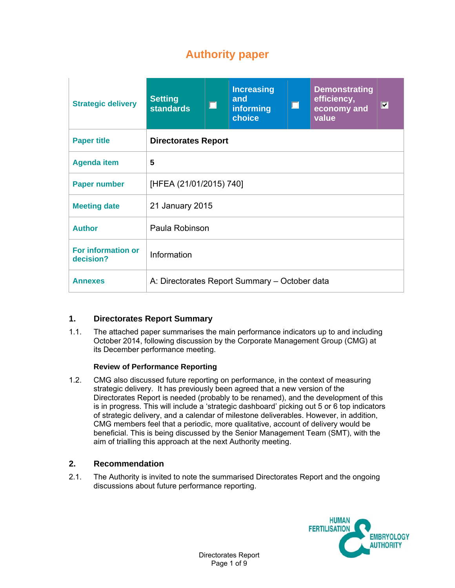# **Authority paper**

| <b>Strategic delivery</b>       | <b>Setting</b><br><b>standards</b>            | $\Box$                     | <b>Increasing</b><br>and<br>informing<br>choice | $\Box$ | <b>Demonstrating</b><br>efficiency,<br>economy and<br>value | $ \overline{\mathbf{v}} $ |  |  |
|---------------------------------|-----------------------------------------------|----------------------------|-------------------------------------------------|--------|-------------------------------------------------------------|---------------------------|--|--|
| <b>Paper title</b>              |                                               | <b>Directorates Report</b> |                                                 |        |                                                             |                           |  |  |
| <b>Agenda item</b>              | 5                                             |                            |                                                 |        |                                                             |                           |  |  |
| <b>Paper number</b>             |                                               | [HFEA (21/01/2015) 740]    |                                                 |        |                                                             |                           |  |  |
| <b>Meeting date</b>             | 21 January 2015                               |                            |                                                 |        |                                                             |                           |  |  |
| <b>Author</b>                   | Paula Robinson                                |                            |                                                 |        |                                                             |                           |  |  |
| For information or<br>decision? | Information                                   |                            |                                                 |        |                                                             |                           |  |  |
| <b>Annexes</b>                  | A: Directorates Report Summary – October data |                            |                                                 |        |                                                             |                           |  |  |

### **1. Directorates Report Summary**

1.1. The attached paper summarises the main performance indicators up to and including October 2014, following discussion by the Corporate Management Group (CMG) at its December performance meeting.

### **Review of Performance Reporting**

1.2. CMG also discussed future reporting on performance, in the context of measuring strategic delivery. It has previously been agreed that a new version of the Directorates Report is needed (probably to be renamed), and the development of this is in progress. This will include a 'strategic dashboard' picking out 5 or 6 top indicators of strategic delivery, and a calendar of milestone deliverables. However, in addition, CMG members feel that a periodic, more qualitative, account of delivery would be beneficial. This is being discussed by the Senior Management Team (SMT), with the aim of trialling this approach at the next Authority meeting.

### **2. Recommendation**

2.1. The Authority is invited to note the summarised Directorates Report and the ongoing discussions about future performance reporting.

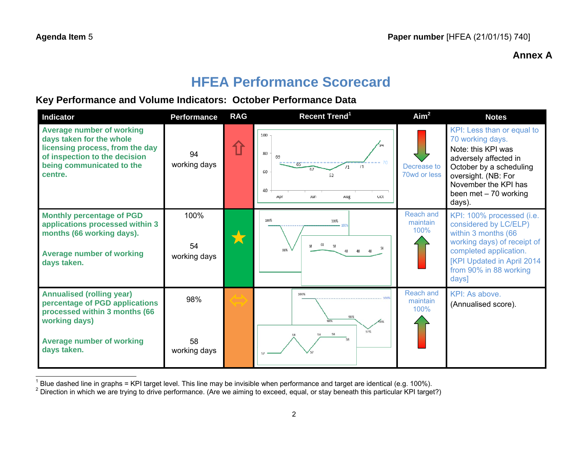## **Annex A**

# **HFEA Performance Scorecard**

## **Key Performance and Volume Indicators: October Performance Data**

| <b>Indicator</b>                                                                                                                                                         | <b>Performance</b>         | <b>RAG</b> | Recent Trend <sup>1</sup>                                                 | Aim <sup>2</sup>                     | <b>Notes</b>                                                                                                                                                                                               |
|--------------------------------------------------------------------------------------------------------------------------------------------------------------------------|----------------------------|------------|---------------------------------------------------------------------------|--------------------------------------|------------------------------------------------------------------------------------------------------------------------------------------------------------------------------------------------------------|
| <b>Average number of working</b><br>days taken for the whole<br>licensing process, from the day<br>of inspection to the decision<br>being communicated to the<br>centre. | 94<br>working days         | 1ì         | 100<br>80<br>69<br>11<br>/1<br>60<br>62<br>40<br>Jun<br>Oct<br>Apr<br>Aug | Decrease to<br>70wd or less          | KPI: Less than or equal to<br>70 working days.<br>Note: this KPI was<br>adversely affected in<br>October by a scheduling<br>oversight. (NB: For<br>November the KPI has<br>been met - 70 working<br>days). |
| <b>Monthly percentage of PGD</b><br>applications processed within 3<br>months (66 working days).<br><b>Average number of working</b><br>days taken.                      | 100%<br>54<br>working days |            | 100%<br>100%<br>61<br>- 58<br>88%                                         | <b>Reach and</b><br>maintain<br>100% | KPI: 100% processed (i.e.<br>considered by LC/ELP)<br>within 3 months (66<br>working days) of receipt of<br>completed application.<br><b>[KPI Updated in April 2014</b><br>from 90% in 88 working<br>days] |
| <b>Annualised (rolling year)</b><br>percentage of PGD applications<br>processed within 3 months (66<br>working days)<br><b>Average number of working</b><br>days taken.  | 98%<br>58<br>working days  |            | 100%<br>97%<br>58                                                         | Reach and<br>maintain<br>100%        | KPI: As above.<br>(Annualised score).                                                                                                                                                                      |

<sup>&</sup>lt;sup>1</sup> Blue dashed line in graphs = KPI target level. This line may be invisible when performance and target are identical (e.g. 100%).<br><sup>2</sup> Direction in which we are trying to drive performance. (Are we aiming to exceed, equ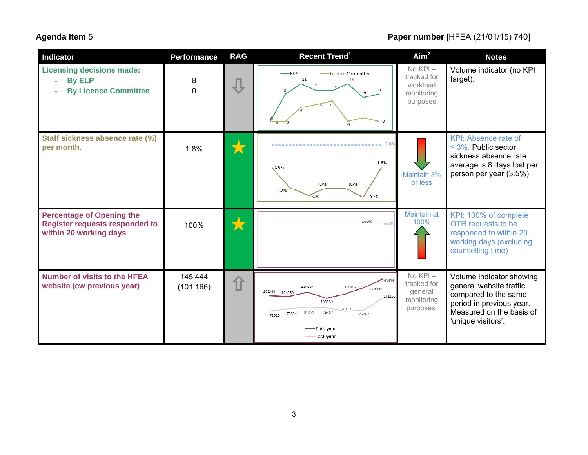| Indicator                                                                                           | <b>Performance</b>    | <b>RAG</b>           | Recent Trend <sup>1</sup>                                                                                                                                    | Aim <sup>2</sup>                                                | <b>Notes</b>                                                                                                                                              |
|-----------------------------------------------------------------------------------------------------|-----------------------|----------------------|--------------------------------------------------------------------------------------------------------------------------------------------------------------|-----------------------------------------------------------------|-----------------------------------------------------------------------------------------------------------------------------------------------------------|
| <b>Licensing decisions made:</b><br><b>By ELP</b><br><b>By Licence Committee</b>                    | 8<br>$\overline{0}$   | $\bigoplus$          | Licence Committee<br>$-\varepsilon$ LP<br>11<br>11<br>9                                                                                                      | $No KPI -$<br>tracked for<br>workload<br>monitoring<br>purposes | Volume indicator (no KPI<br>target).                                                                                                                      |
| Staff sickness absence rate (%)<br>per month.                                                       | 1.8%                  | $\overline{\lambda}$ | 1.8%<br>1.8%<br>0.7%<br>0.7%<br>0.7%<br>0.3%<br>0.2%                                                                                                         | Maintain 3%<br>or less                                          | <b>KPI: Absence rate of</b><br>$\leq$ 3%. Public sector<br>sickness absence rate<br>average is 8 days lost per<br>person per year (3.5%).                 |
| <b>Percentage of Opening the</b><br><b>Register requests responded to</b><br>within 20 working days | 100%                  |                      | 100%                                                                                                                                                         | Maintain at<br>100%                                             | KPI: 100% of complete<br>OTR requests to be<br>responded to within 20<br>working days (excluding<br>counselling time)                                     |
| <b>Number of visits to the HFEA</b><br>website (cw previous year)                                   | 145,444<br>(101, 166) | 仚                    | 145444<br>11425/<br>110357<br>124849<br>105988<br>104769<br>101166<br>100282<br>70773<br>79453<br>81071<br>73782<br>76664<br>71610<br>This year<br>Last year | $No KPI -$<br>tracked for<br>general<br>monitoring<br>purposes. | Volume indicator showing<br>general website traffic<br>compared to the same<br>period in previous year.<br>Measured on the basis of<br>'unique visitors'. |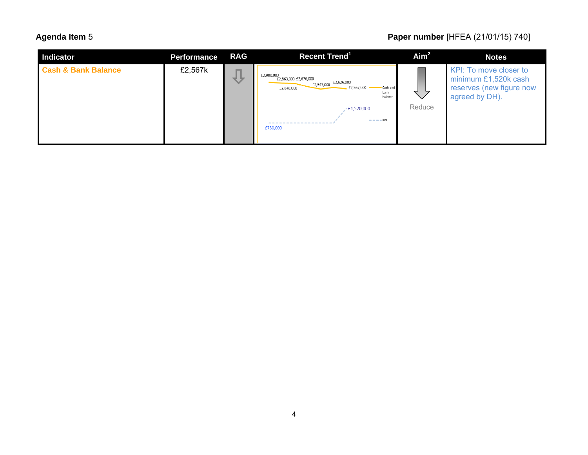| <b>Indicator</b>               | Performance | <b>RAG</b> | Recent Trend <sup>1</sup>                                                                                                                                     | Aim <sup>2</sup> | <b>Notes</b>                                                                                 |
|--------------------------------|-------------|------------|---------------------------------------------------------------------------------------------------------------------------------------------------------------|------------------|----------------------------------------------------------------------------------------------|
| <b>Cash &amp; Bank Balance</b> | £2,567k     | マ          | £2,900,000<br>£2,863,000 £2,676,000<br>£2,547,000 £2,626,000<br>£2,567,000<br>Cash and<br>£2,848,000<br>bank<br>balance<br>£1,520,000<br>$=  KPI$<br>£750,000 | Reduce           | KPI: To move closer to<br>minimum £1,520k cash<br>reserves (new figure now<br>agreed by DH). |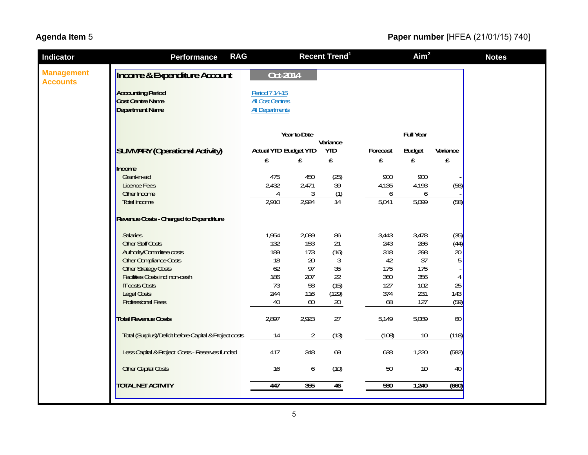| <b>RAG</b><br><b>Performance</b>                       |                              |                | Recent Trend <sup>1</sup> |           | Aim <sup>2</sup> |          |
|--------------------------------------------------------|------------------------------|----------------|---------------------------|-----------|------------------|----------|
| Income & Expenditure Account                           | Oct-2014                     |                |                           |           |                  |          |
| <b>Accounting Period</b>                               | Period 7 14-15               |                |                           |           |                  |          |
| Cost Centre Name                                       | <b>All Cost Centres</b>      |                |                           |           |                  |          |
| <b>Department Name</b>                                 | <b>All Departments</b>       |                |                           |           |                  |          |
|                                                        |                              | Year to Date   |                           |           | <b>Full Year</b> |          |
|                                                        | <b>Actual YTD Budget YTD</b> |                | Variance<br><b>YTD</b>    | Forecast  | <b>Budget</b>    | Variance |
| <b>SUMMARY (Operational Activity)</b>                  |                              |                |                           |           |                  |          |
| Income                                                 | £                            | £              | £                         | ${\bf f}$ | ${\bf f}$        | £        |
| Grant-in-aid                                           | 475                          | 450            | (25)                      | 900       | 900              |          |
| <b>Licence Fees</b>                                    | 2,432                        | 2,471          | 39                        | 4,135     | 4,193            | (58)     |
| Other Income                                           | 4                            | 3              | (1)                       | 6         | 6                |          |
| <b>Total Income</b>                                    | 2,910                        | 2,924          | 14                        | 5,041     | 5,099            | (58)     |
| Revenue Costs - Charged to Expenditure                 |                              |                |                           |           |                  |          |
| <b>Salaries</b>                                        | 1,954                        | 2,039          | 86                        | 3,443     | 3,478            | (35)     |
| <b>Other Staff Costs</b>                               | 132                          | 153            | 21                        | 243       | 286              | (44)     |
| Authority/Committee costs                              | 189                          | 173            | (16)                      | 318       | 298              | 20       |
| Other Compliance Costs                                 | 18                           | 20             | 3                         | 42        | 37               | 5        |
| <b>Other Strategy Costs</b>                            | 62                           | 97             | 35                        | 175       | 175              |          |
| <b>Facilities Costs incl non-cash</b>                  | 186                          | 207            | 22                        | 360       | 356              | 4        |
| <b>IT costs Costs</b>                                  | 73                           | 58             | (15)                      | 127       | 102              | 25       |
| <b>Legal Costs</b>                                     | 244                          | 116            | (129)                     | 374       | 231              | 143      |
| <b>Professional Fees</b>                               | 40                           | 60             | $20\,$                    | 68        | 127              | (59)     |
| <b>Total Revenue Costs</b>                             | 2,897                        | 2,923          | 27                        | 5,149     | 5,089            | 60       |
| Total (Surplus)/Deficit before Capital & Project costs | 14                           | $\overline{2}$ | (13)                      | (108)     | $10\,$           | (118)    |
| Less Capital & Project Costs - Reserves funded         | 417                          | 348            | 69                        | 638       | 1,220            | (582)    |
| <b>Other Capital Costs</b>                             | 16                           | 6              | (10)                      | 50        | 10               | 40       |
| <b>TOTAL NET ACTIVITY</b>                              | 447                          | 355            | 46                        | 580       | 1,240            | (660)    |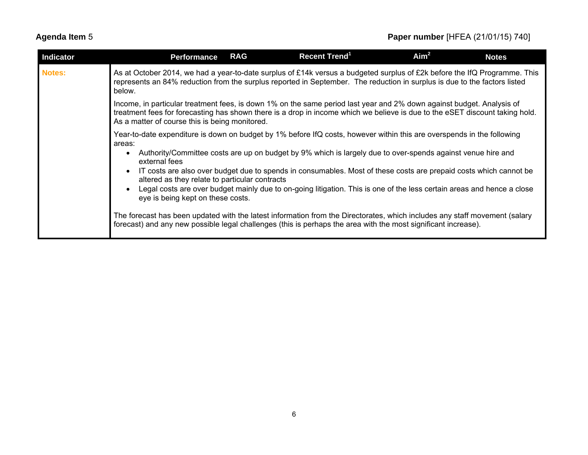| <b>Indicator</b> | <b>Performance</b>                                                                                                                                                                                                                                                                                                                                                                                                                                                                       | <b>RAG</b> | Recent Trend <sup>1</sup>                                                                                                                                                                                                                                                                                                                                  | Aim <sup>2</sup> | <b>Notes</b> |
|------------------|------------------------------------------------------------------------------------------------------------------------------------------------------------------------------------------------------------------------------------------------------------------------------------------------------------------------------------------------------------------------------------------------------------------------------------------------------------------------------------------|------------|------------------------------------------------------------------------------------------------------------------------------------------------------------------------------------------------------------------------------------------------------------------------------------------------------------------------------------------------------------|------------------|--------------|
| <b>Notes:</b>    | As at October 2014, we had a year-to-date surplus of £14k versus a budgeted surplus of £2k before the IfQ Programme. This<br>represents an 84% reduction from the surplus reported in September. The reduction in surplus is due to the factors listed<br>below.                                                                                                                                                                                                                         |            |                                                                                                                                                                                                                                                                                                                                                            |                  |              |
|                  | Income, in particular treatment fees, is down 1% on the same period last year and 2% down against budget. Analysis of<br>treatment fees for forecasting has shown there is a drop in income which we believe is due to the eSET discount taking hold.<br>As a matter of course this is being monitored.                                                                                                                                                                                  |            |                                                                                                                                                                                                                                                                                                                                                            |                  |              |
|                  | Year-to-date expenditure is down on budget by 1% before IfQ costs, however within this are overspends in the following<br>areas:<br>external fees<br>altered as they relate to particular contracts<br>eye is being kept on these costs.<br>The forecast has been updated with the latest information from the Directorates, which includes any staff movement (salary<br>forecast) and any new possible legal challenges (this is perhaps the area with the most significant increase). |            | Authority/Committee costs are up on budget by 9% which is largely due to over-spends against venue hire and<br>IT costs are also over budget due to spends in consumables. Most of these costs are prepaid costs which cannot be<br>Legal costs are over budget mainly due to on-going litigation. This is one of the less certain areas and hence a close |                  |              |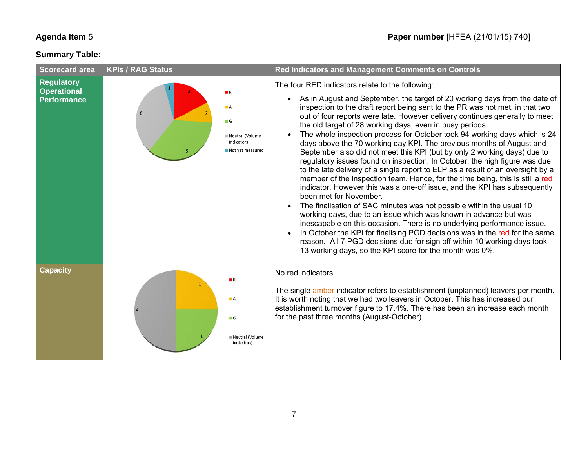# **Summary Table:**

| <b>Scorecard area</b>                                         | <b>KPIs / RAG Status</b>                                                          | <b>Red Indicators and Management Comments on Controls</b>                                                                                                                                                                                                                                                                                                                                                                                                                                                                                                                                                                                                                                                                                                                                                                                                                                                                                                                                                                                                                                                                                                                                                                                                                                                                                                                                        |  |  |
|---------------------------------------------------------------|-----------------------------------------------------------------------------------|--------------------------------------------------------------------------------------------------------------------------------------------------------------------------------------------------------------------------------------------------------------------------------------------------------------------------------------------------------------------------------------------------------------------------------------------------------------------------------------------------------------------------------------------------------------------------------------------------------------------------------------------------------------------------------------------------------------------------------------------------------------------------------------------------------------------------------------------------------------------------------------------------------------------------------------------------------------------------------------------------------------------------------------------------------------------------------------------------------------------------------------------------------------------------------------------------------------------------------------------------------------------------------------------------------------------------------------------------------------------------------------------------|--|--|
| <b>Regulatory</b><br><b>Operational</b><br><b>Performance</b> | R<br>$\blacksquare$ A<br>ΠG<br>Neutral (Volume<br>indicators)<br>Not yet measured | The four RED indicators relate to the following:<br>As in August and September, the target of 20 working days from the date of<br>inspection to the draft report being sent to the PR was not met, in that two<br>out of four reports were late. However delivery continues generally to meet<br>the old target of 28 working days, even in busy periods.<br>The whole inspection process for October took 94 working days which is 24<br>days above the 70 working day KPI. The previous months of August and<br>September also did not meet this KPI (but by only 2 working days) due to<br>regulatory issues found on inspection. In October, the high figure was due<br>to the late delivery of a single report to ELP as a result of an oversight by a<br>member of the inspection team. Hence, for the time being, this is still a red<br>indicator. However this was a one-off issue, and the KPI has subsequently<br>been met for November.<br>The finalisation of SAC minutes was not possible within the usual 10<br>working days, due to an issue which was known in advance but was<br>inescapable on this occasion. There is no underlying performance issue.<br>In October the KPI for finalising PGD decisions was in the red for the same<br>reason. All 7 PGD decisions due for sign off within 10 working days took<br>13 working days, so the KPI score for the month was 0%. |  |  |
| <b>Capacity</b>                                               | R<br>$\blacksquare$ A<br>$\blacksquare$ G<br>≡ Neutral (Volume<br>indicators)     | No red indicators.<br>The single amber indicator refers to establishment (unplanned) leavers per month.<br>It is worth noting that we had two leavers in October. This has increased our<br>establishment turnover figure to 17.4%. There has been an increase each month<br>for the past three months (August-October).                                                                                                                                                                                                                                                                                                                                                                                                                                                                                                                                                                                                                                                                                                                                                                                                                                                                                                                                                                                                                                                                         |  |  |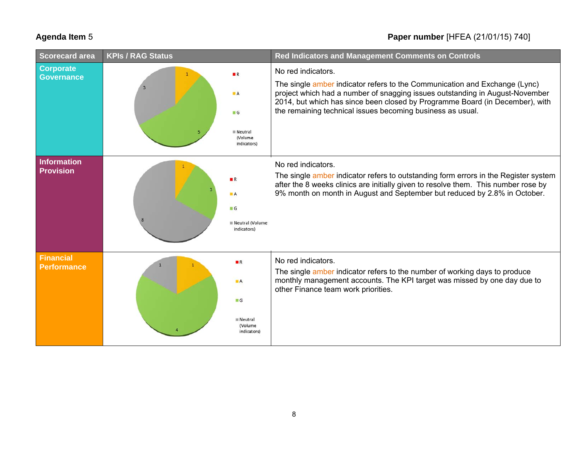| <b>Scorecard area</b>                  | <b>KPIs / RAG Status</b>                                                    | Red Indicators and Management Comments on Controls                                                                                                                                                                                                                                                                             |
|----------------------------------------|-----------------------------------------------------------------------------|--------------------------------------------------------------------------------------------------------------------------------------------------------------------------------------------------------------------------------------------------------------------------------------------------------------------------------|
| <b>Corporate</b><br><b>Governance</b>  | R<br>A<br>$\blacksquare$ G<br>Neutral<br>(Volume<br>indicators)             | No red indicators.<br>The single amber indicator refers to the Communication and Exchange (Lync)<br>project which had a number of snagging issues outstanding in August-November<br>2014, but which has since been closed by Programme Board (in December), with<br>the remaining technical issues becoming business as usual. |
| <b>Information</b><br><b>Provision</b> | R<br>$\blacksquare$ A<br>$\blacksquare$ G<br>Neutral (Volume<br>indicators) | No red indicators.<br>The single amber indicator refers to outstanding form errors in the Register system<br>after the 8 weeks clinics are initially given to resolve them. This number rose by<br>9% month on month in August and September but reduced by 2.8% in October.                                                   |
| <b>Financial</b><br><b>Performance</b> | R<br>A<br>G<br><b>Neutral</b><br>(Volume<br>indicators)                     | No red indicators.<br>The single amber indicator refers to the number of working days to produce<br>monthly management accounts. The KPI target was missed by one day due to<br>other Finance team work priorities.                                                                                                            |